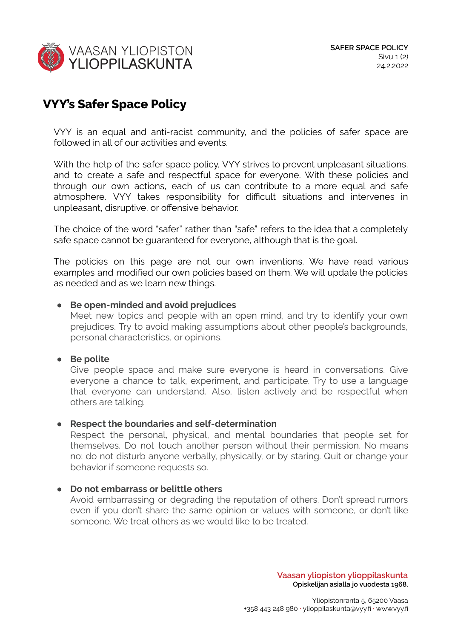

# **VYY's Safer Space Policy**

VYY is an equal and anti-racist community, and the policies of safer space are followed in all of our activities and events.

With the help of the safer space policy, VYY strives to prevent unpleasant situations, and to create a safe and respectful space for everyone. With these policies and through our own actions, each of us can contribute to a more equal and safe atmosphere. VYY takes responsibility for difficult situations and intervenes in unpleasant, disruptive, or offensive behavior.

The choice of the word "safer" rather than "safe" refers to the idea that a completely safe space cannot be guaranteed for everyone, although that is the goal.

The policies on this page are not our own inventions. We have read various examples and modified our own policies based on them. We will update the policies as needed and as we learn new things.

## **● Be open-minded and avoid prejudices**

Meet new topics and people with an open mind, and try to identify your own prejudices. Try to avoid making assumptions about other people's backgrounds, personal characteristics, or opinions.

## **● Be polite**

Give people space and make sure everyone is heard in conversations. Give everyone a chance to talk, experiment, and participate. Try to use a language that everyone can understand. Also, listen actively and be respectful when others are talking.

## **● Respect the boundaries and self-determination**

Respect the personal, physical, and mental boundaries that people set for themselves. Do not touch another person without their permission. No means no; do not disturb anyone verbally, physically, or by staring. Quit or change your behavior if someone requests so.

## **● Do not embarrass or belittle others**

Avoid embarrassing or degrading the reputation of others. Don't spread rumors even if you don't share the same opinion or values with someone, or don't like someone. We treat others as we would like to be treated.

> **Vaasan yliopiston ylioppilaskunta Opiskelijan asialla jo vuodesta 1968.**